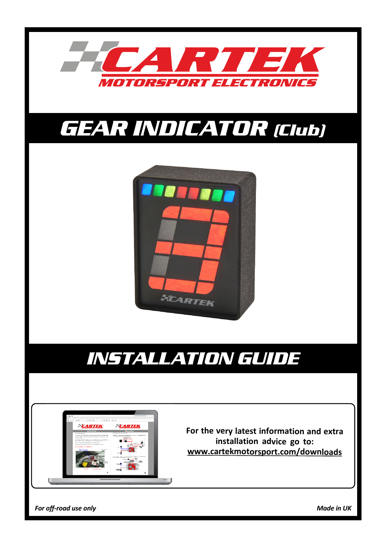

# *GEAR INDICATOR (Club)*



# *INSTALLATION GUIDE*



**For the very latest information and extra installation advice go to: www.cartekmotorsport.com/downloads**

*For off-road use only Made in UK*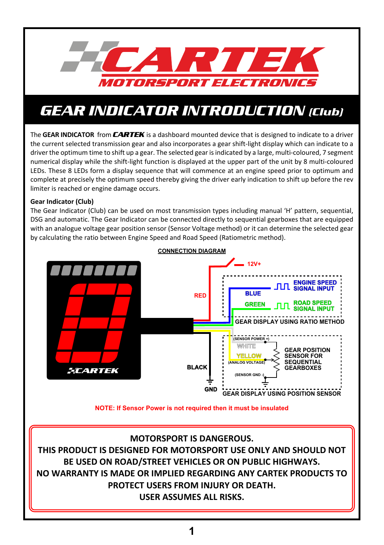

### *GEAR INDICATOR INTRODUCTION (Club)*

The **GEAR INDICATOR** from *CARTEK* is a dashboard mounted device that is designed to indicate to a driver the current selected transmission gear and also incorporates a gear shift-light display which can indicate to a driver the optimum time to shift up a gear. The selected gear is indicated by a large, multi-coloured, 7 segment numerical display while the shift-light function is displayed at the upper part of the unit by 8 multi-coloured LEDs. These 8 LEDs form a display sequence that will commence at an engine speed prior to optimum and complete at precisely the optimum speed thereby giving the driver early indication to shift up before the rev limiter is reached or engine damage occurs.

#### **Gear Indicator (Club)**

The Gear Indicator (Club) can be used on most transmission types including manual 'H' pattern, sequential, DSG and automatic. The Gear Indicator can be connected directly to sequential gearboxes that are equipped with an analogue voltage gear position sensor (Sensor Voltage method) or it can determine the selected gear by calculating the ratio between Engine Speed and Road Speed (Ratiometric method).



**NOTE: If Sensor Power is not required then it must be insulated**

### **MOTORSPORT IS DANGEROUS.**

**THIS PRODUCT IS DESIGNED FOR MOTORSPORT USE ONLY AND SHOULD NOT BE USED ON ROAD/STREET VEHICLES OR ON PUBLIC HIGHWAYS. NO WARRANTY IS MADE OR IMPLIED REGARDING ANY CARTEK PRODUCTS TO PROTECT USERS FROM INJURY OR DEATH. USER ASSUMES ALL RISKS.**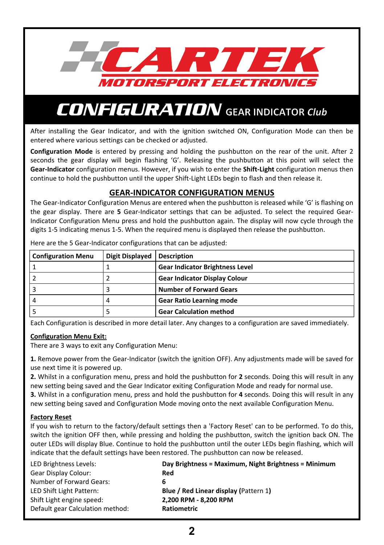

After installing the Gear Indicator, and with the ignition switched ON, Configuration Mode can then be entered where various settings can be checked or adjusted.

**Configuration Mode** is entered by pressing and holding the pushbutton on the rear of the unit. After 2 seconds the gear display will begin flashing 'G'. Releasing the pushbutton at this point will select the **Gear-Indicator** configuration menus. However, if you wish to enter the **Shift-Light** configuration menus then continue to hold the pushbutton until the upper Shift-Light LEDs begin to flash and then release it.

### **GEAR-INDICATOR CONFIGURATION MENUS**

The Gear-Indicator Configuration Menus are entered when the pushbutton is released while 'G' is flashing on the gear display. There are **5** Gear-Indicator settings that can be adjusted. To select the required Gear-Indicator Configuration Menu press and hold the pushbutton again. The display will now cycle through the digits 1-5 indicating menus 1-5. When the required menu is displayed then release the pushbutton.

| <b>Configuration Menu</b> | <b>Digit Displayed</b> | <b>Description</b>                     |
|---------------------------|------------------------|----------------------------------------|
|                           |                        | <b>Gear Indicator Brightness Level</b> |
|                           |                        | <b>Gear Indicator Display Colour</b>   |
|                           |                        | <b>Number of Forward Gears</b>         |
| 4                         |                        | <b>Gear Ratio Learning mode</b>        |
|                           |                        | <b>Gear Calculation method</b>         |

Here are the 5 Gear-Indicator configurations that can be adjusted:

Each Configuration is described in more detail later. Any changes to a configuration are saved immediately.

#### **Configuration Menu Exit:**

There are 3 ways to exit any Configuration Menu:

**1.** Remove power from the Gear-Indicator (switch the ignition OFF). Any adjustments made will be saved for use next time it is powered up.

**2.** Whilst in a configuration menu, press and hold the pushbutton for **2** seconds. Doing this will result in any new setting being saved and the Gear Indicator exiting Configuration Mode and ready for normal use.

**3.** Whilst in a configuration menu, press and hold the pushbutton for **4** seconds. Doing this will result in any new setting being saved and Configuration Mode moving onto the next available Configuration Menu.

### **Factory Reset**

If you wish to return to the factory/default settings then a 'Factory Reset' can to be performed. To do this, switch the ignition OFF then, while pressing and holding the pushbutton, switch the ignition back ON. The outer LEDs will display Blue. Continue to hold the pushbutton until the outer LEDs begin flashing, which will indicate that the default settings have been restored. The pushbutton can now be released.

| LED Brightness Levels:           | Day Brightness = Maximum, Night Brightness = Minimum |
|----------------------------------|------------------------------------------------------|
| Gear Display Colour:             | Red                                                  |
| Number of Forward Gears:         | 6                                                    |
| LED Shift Light Pattern:         | <b>Blue / Red Linear display (Pattern 1)</b>         |
| Shift Light engine speed:        | 2,200 RPM - 8,200 RPM                                |
| Default gear Calculation method: | <b>Ratiometric</b>                                   |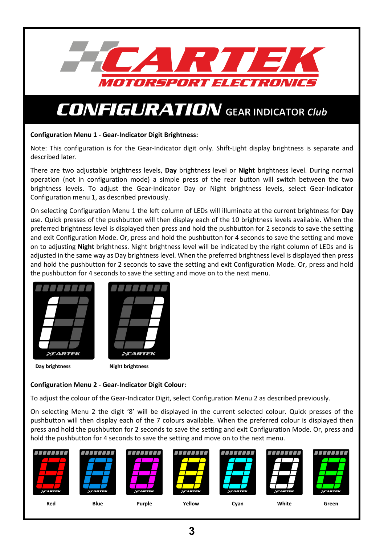

#### **Configuration Menu 1 - Gear-Indicator Digit Brightness:**

Note: This configuration is for the Gear-Indicator digit only. Shift-Light display brightness is separate and described later.

There are two adjustable brightness levels, **Day** brightness level or **Night** brightness level. During normal operation (not in configuration mode) a simple press of the rear button will switch between the two brightness levels. To adjust the Gear-Indicator Day or Night brightness levels, select Gear-Indicator Configuration menu 1, as described previously.

On selecting Configuration Menu 1 the left column of LEDs will illuminate at the current brightness for **Day** use. Quick presses of the pushbutton will then display each of the 10 brightness levels available. When the preferred brightness level is displayed then press and hold the pushbutton for 2 seconds to save the setting and exit Configuration Mode. Or, press and hold the pushbutton for 4 seconds to save the setting and move on to adjusting **Night** brightness. Night brightness level will be indicated by the right column of LEDs and is adjusted in the same way as Day brightness level. When the preferred brightness level is displayed then press and hold the pushbutton for 2 seconds to save the setting and exit Configuration Mode. Or, press and hold the pushbutton for 4 seconds to save the setting and move on to the next menu.





**Day brightness** Night brightness

### **Configuration Menu 2 - Gear-Indicator Digit Colour:**

To adjust the colour of the Gear-Indicator Digit, select Configuration Menu 2 as described previously.

On selecting Menu 2 the digit '8' will be displayed in the current selected colour. Quick presses of the pushbutton will then display each of the 7 colours available. When the preferred colour is displayed then press and hold the pushbutton for 2 seconds to save the setting and exit Configuration Mode. Or, press and hold the pushbutton for 4 seconds to save the setting and move on to the next menu.

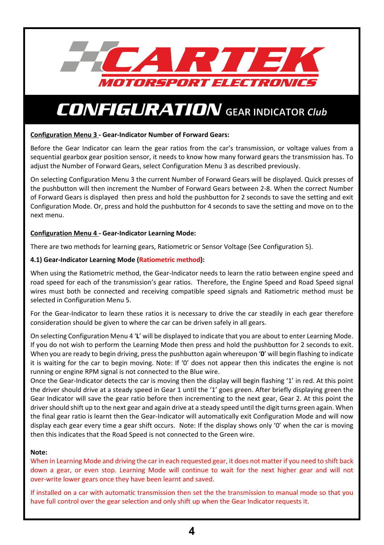

#### **Configuration Menu 3 - Gear-Indicator Number of Forward Gears:**

Before the Gear Indicator can learn the gear ratios from the car's transmission, or voltage values from a sequential gearbox gear position sensor, it needs to know how many forward gears the transmission has. To adjust the Number of Forward Gears, select Configuration Menu 3 as described previously.

On selecting Configuration Menu 3 the current Number of Forward Gears will be displayed. Quick presses of the pushbutton will then increment the Number of Forward Gears between 2-8. When the correct Number of Forward Gears is displayed then press and hold the pushbutton for 2 seconds to save the setting and exit Configuration Mode. Or, press and hold the pushbutton for 4 seconds to save the setting and move on to the next menu.

#### **Configuration Menu 4 - Gear-Indicator Learning Mode:**

There are two methods for learning gears, Ratiometric or Sensor Voltage (See Configuration 5).

#### **4.1) Gear-Indicator Learning Mode (Ratiometric method):**

When using the Ratiometric method, the Gear-Indicator needs to learn the ratio between engine speed and road speed for each of the transmission's gear ratios. Therefore, the Engine Speed and Road Speed signal wires must both be connected and receiving compatible speed signals and Ratiometric method must be selected in Configuration Menu 5.

For the Gear-Indicator to learn these ratios it is necessary to drive the car steadily in each gear therefore consideration should be given to where the car can be driven safely in all gears.

On selecting Configuration Menu 4 '**L**' will be displayed to indicate that you are about to enter Learning Mode. If you do not wish to perform the Learning Mode then press and hold the pushbutton for 2 seconds to exit. When you are ready to begin driving, press the pushbutton again whereupon '**0**' will begin flashing to indicate it is waiting for the car to begin moving. Note: If '0' does not appear then this indicates the engine is not running or engine RPM signal is not connected to the Blue wire.

Once the Gear-Indicator detects the car is moving then the display will begin flashing '1' in red. At this point the driver should drive at a steady speed in Gear 1 until the '1' goes green. After briefly displaying green the Gear Indicator will save the gear ratio before then incrementing to the next gear, Gear 2. At this point the driver should shift up to the next gear and again drive at a steady speed until the digit turns green again. When the final gear ratio is learnt then the Gear-Indicator will automatically exit Configuration Mode and will now display each gear every time a gear shift occurs. Note: If the display shows only '0' when the car is moving then this indicates that the Road Speed is not connected to the Green wire.

#### **Note:**

When in Learning Mode and driving the car in each requested gear, it does not matter if you need to shift back down a gear, or even stop. Learning Mode will continue to wait for the next higher gear and will not over-write lower gears once they have been learnt and saved.

If installed on a car with automatic transmission then set the the transmission to manual mode so that you have full control over the gear selection and only shift up when the Gear Indicator requests it.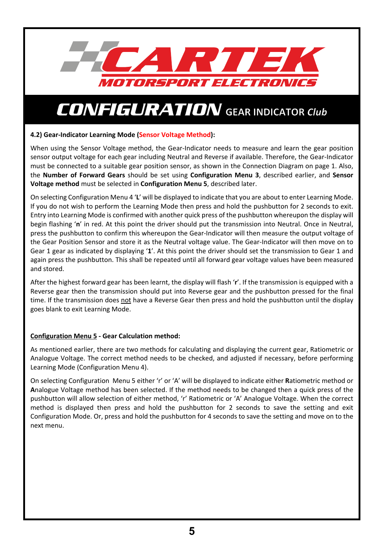

### **4.2) Gear-Indicator Learning Mode (Sensor Voltage Method):**

When using the Sensor Voltage method, the Gear-Indicator needs to measure and learn the gear position sensor output voltage for each gear including Neutral and Reverse if available. Therefore, the Gear-Indicator must be connected to a suitable gear position sensor, as shown in the Connection Diagram on page 1. Also, the **Number of Forward Gears** should be set using **Configuration Menu 3**, described earlier, and **Sensor Voltage method** must be selected in **Configuration Menu 5**, described later.

On selecting Configuration Menu 4 '**L**' will be displayed to indicate that you are about to enter Learning Mode. If you do not wish to perform the Learning Mode then press and hold the pushbutton for 2 seconds to exit. Entry into Learning Mode is confirmed with another quick press of the pushbutton whereupon the display will begin flashing '**n**' in red. At this point the driver should put the transmission into Neutral. Once in Neutral, press the pushbutton to confirm this whereupon the Gear-Indicator will then measure the output voltage of the Gear Position Sensor and store it as the Neutral voltage value. The Gear-Indicator will then move on to Gear 1 gear as indicated by displaying '**1**'. At this point the driver should set the transmission to Gear 1 and again press the pushbutton. This shall be repeated until all forward gear voltage values have been measured and stored.

After the highest forward gear has been learnt, the display will flash '**r**'. If the transmission is equipped with a Reverse gear then the transmission should put into Reverse gear and the pushbutton pressed for the final time. If the transmission does not have a Reverse Gear then press and hold the pushbutton until the display goes blank to exit Learning Mode.

### **Configuration Menu 5 - Gear Calculation method:**

As mentioned earlier, there are two methods for calculating and displaying the current gear, Ratiometric or Analogue Voltage. The correct method needs to be checked, and adjusted if necessary, before performing Learning Mode (Configuration Menu 4).

On selecting Configuration Menu 5 either 'r' or 'A' will be displayed to indicate either **R**atiometric method or **A**nalogue Voltage method has been selected. If the method needs to be changed then a quick press of the pushbutton will allow selection of either method, 'r' Ratiometric or 'A' Analogue Voltage. When the correct method is displayed then press and hold the pushbutton for 2 seconds to save the setting and exit Configuration Mode. Or, press and hold the pushbutton for 4 seconds to save the setting and move on to the next menu.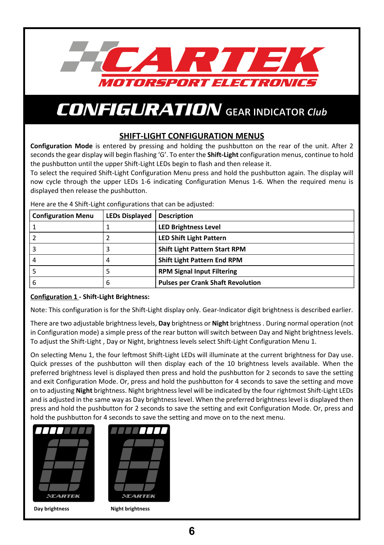

### **SHIFT-LIGHT CONFIGURATION MENUS**

**Configuration Mode** is entered by pressing and holding the pushbutton on the rear of the unit. After 2 seconds the gear display will begin flashing 'G'. To enter the **Shift-Light** configuration menus, continue to hold the pushbutton until the upper Shift-Light LEDs begin to flash and then release it.

To select the required Shift-Light Configuration Menu press and hold the pushbutton again. The display will now cycle through the upper LEDs 1-6 indicating Configuration Menus 1-6. When the required menu is displayed then release the pushbutton.

| Here are the 4 Shift-Light configurations that can be adjusted: |  |
|-----------------------------------------------------------------|--|
|                                                                 |  |

| <b>Configuration Menu</b> | <b>LEDs Displayed</b> | <b>Description</b>                       |
|---------------------------|-----------------------|------------------------------------------|
|                           |                       | <b>LED Brightness Level</b>              |
|                           |                       | <b>LED Shift Light Pattern</b>           |
|                           |                       | <b>Shift Light Pattern Start RPM</b>     |
|                           |                       | <b>Shift Light Pattern End RPM</b>       |
|                           |                       | <b>RPM Signal Input Filtering</b>        |
|                           | b                     | <b>Pulses per Crank Shaft Revolution</b> |

### **Configuration 1 - Shift-Light Brightness:**

Note: This configuration is for the Shift-Light display only. Gear-Indicator digit brightness is described earlier.

There are two adjustable brightness levels, **Day** brightness or **Night** brightness . During normal operation (not in Configuration mode) a simple press of the rear button will switch between Day and Night brightness levels. To adjust the Shift-Light , Day or Night, brightness levels select Shift-Light Configuration Menu 1.

On selecting Menu 1, the four leftmost Shift-Light LEDs will illuminate at the current brightness for Day use. Quick presses of the pushbutton will then display each of the 10 brightness levels available. When the preferred brightness level is displayed then press and hold the pushbutton for 2 seconds to save the setting and exit Configuration Mode. Or, press and hold the pushbutton for 4 seconds to save the setting and move on to adjusting **Night** brightness. Night brightness level will be indicated by the four rightmost Shift-Light LEDs and is adjusted in the same way as Day brightness level. When the preferred brightness level is displayed then press and hold the pushbutton for 2 seconds to save the setting and exit Configuration Mode. Or, press and hold the pushbutton for 4 seconds to save the setting and move on to the next menu.

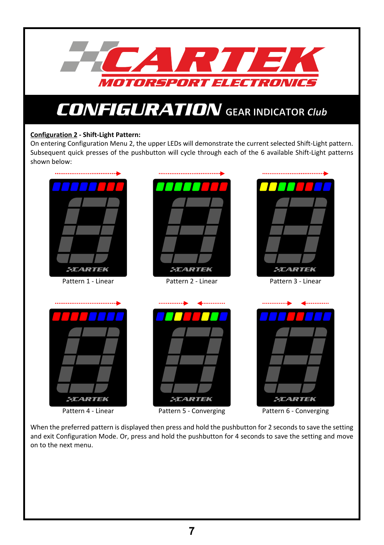

### **Configuration 2 - Shift-Light Pattern:**

On entering Configuration Menu 2, the upper LEDs will demonstrate the current selected Shift-Light pattern. Subsequent quick presses of the pushbutton will cycle through each of the 6 available Shift-Light patterns shown below:



Pattern 4 - Linear



Pattern 6 - Converging

When the preferred pattern is displayed then press and hold the pushbutton for 2 seconds to save the setting and exit Configuration Mode. Or, press and hold the pushbutton for 4 seconds to save the setting and move on to the next menu.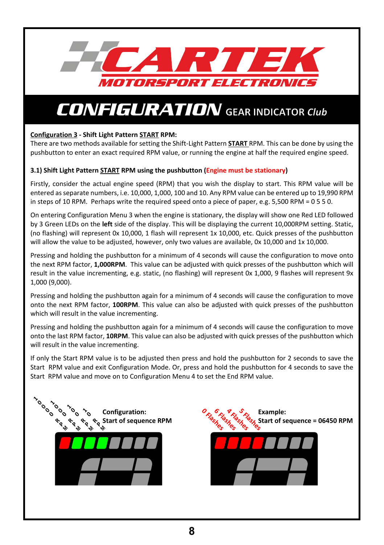

### **Configuration 3 - Shift Light Pattern START RPM:**

There are two methods available for setting the Shift-Light Pattern **START** RPM. This can be done by using the pushbutton to enter an exact required RPM value, or running the engine at half the required engine speed.

### **3.1) Shift Light Pattern START RPM using the pushbutton (Engine must be stationary)**

Firstly, consider the actual engine speed (RPM) that you wish the display to start. This RPM value will be entered as separate numbers, i.e. 10,000, 1,000, 100 and 10. Any RPM value can be entered up to 19,990 RPM in steps of 10 RPM. Perhaps write the required speed onto a piece of paper, e.g. 5,500 RPM = 0 5 5 0.

On entering Configuration Menu 3 when the engine is stationary, the display will show one Red LED followed by 3 Green LEDs on the **left** side of the display. This will be displaying the current 10,000RPM setting. Static, (no flashing) will represent 0x 10,000, 1 flash will represent 1x 10,000, etc. Quick presses of the pushbutton will allow the value to be adjusted, however, only two values are available, 0x 10,000 and 1x 10,000.

Pressing and holding the pushbutton for a minimum of 4 seconds will cause the configuration to move onto the next RPM factor, **1,000RPM**. This value can be adjusted with quick presses of the pushbutton which will result in the value incrementing, e.g. static, (no flashing) will represent 0x 1,000, 9 flashes will represent 9x 1,000 (9,000).

Pressing and holding the pushbutton again for a minimum of 4 seconds will cause the configuration to move onto the next RPM factor, **100RPM**. This value can also be adjusted with quick presses of the pushbutton which will result in the value incrementing.

Pressing and holding the pushbutton again for a minimum of 4 seconds will cause the configuration to move onto the last RPM factor, **10RPM**. This value can also be adjusted with quick presses of the pushbutton which will result in the value incrementing.

If only the Start RPM value is to be adjusted then press and hold the pushbutton for 2 seconds to save the Start RPM value and exit Configuration Mode. Or, press and hold the pushbutton for 4 seconds to save the Start RPM value and move on to Configuration Menu 4 to set the End RPM value.



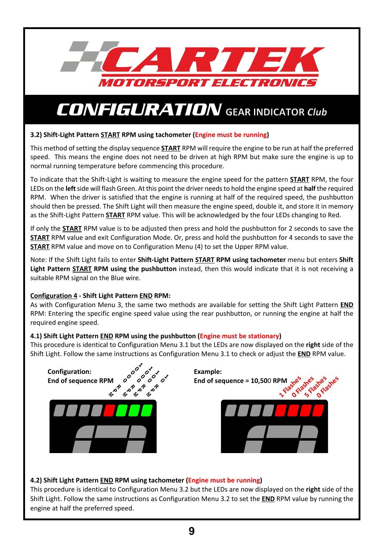![](_page_9_Picture_0.jpeg)

### **3.2) Shift-Light Pattern START RPM using tachometer (Engine must be running)**

This method of setting the display sequence **START** RPM will require the engine to be run at half the preferred speed. This means the engine does not need to be driven at high RPM but make sure the engine is up to normal running temperature before commencing this procedure.

To indicate that the Shift-Light is waiting to measure the engine speed for the pattern **START** RPM, the four LEDs on the **left** side will flash Green. At this point the driver needs to hold the engine speed at **half** the required RPM. When the driver is satisfied that the engine is running at half of the required speed, the pushbutton should then be pressed. The Shift Light will then measure the engine speed, double it, and store it in memory as the Shift-Light Pattern **START** RPM value. This will be acknowledged by the four LEDs changing to Red.

If only the **START** RPM value is to be adjusted then press and hold the pushbutton for 2 seconds to save the **START** RPM value and exit Configuration Mode. Or, press and hold the pushbutton for 4 seconds to save the **START** RPM value and move on to Configuration Menu (4) to set the Upper RPM value.

Note: If the Shift Light fails to enter **Shift-Light Pattern START RPM using tachometer** menu but enters **Shift Light Pattern START RPM using the pushbutton** instead, then this would indicate that it is not receiving a suitable RPM signal on the Blue wire.

### **Configuration 4 - Shift Light Pattern END RPM:**

As with Configuration Menu 3, the same two methods are available for setting the Shift Light Pattern **END** RPM: Entering the specific engine speed value using the rear pushbutton, or running the engine at half the required engine speed.

### **4.1) Shift Light Pattern END RPM using the pushbutton (Engine must be stationary)**

This procedure is identical to Configuration Menu 3.1 but the LEDs are now displayed on the **right** side of the Shift Light. Follow the same instructions as Configuration Menu 3.1 to check or adjust the **END** RPM value.

![](_page_9_Picture_11.jpeg)

### **4.2) Shift Light Pattern END RPM using tachometer (Engine must be running)**

This procedure is identical to Configuration Menu 3.2 but the LEDs are now displayed on the **right** side of the Shift Light. Follow the same instructions as Configuration Menu 3.2 to set the **END** RPM value by running the engine at half the preferred speed.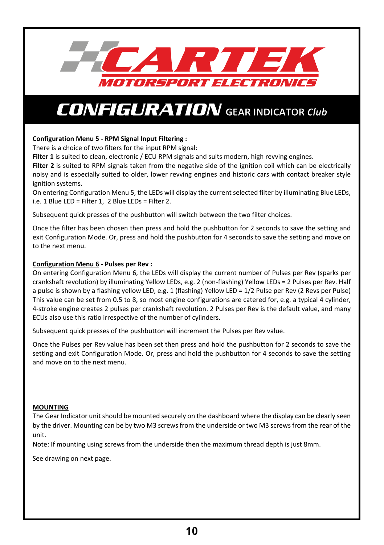![](_page_10_Picture_0.jpeg)

#### **Configuration Menu 5 - RPM Signal Input Filtering :**

There is a choice of two filters for the input RPM signal:

Filter 1 is suited to clean, electronic / ECU RPM signals and suits modern, high revving engines.

**Filter 2** is suited to RPM signals taken from the negative side of the ignition coil which can be electrically noisy and is especially suited to older, lower revving engines and historic cars with contact breaker style ignition systems.

On entering Configuration Menu 5, the LEDs will display the current selected filter by illuminating Blue LEDs, i.e. 1 Blue LED = Filter 1, 2 Blue LEDs = Filter 2.

Subsequent quick presses of the pushbutton will switch between the two filter choices.

Once the filter has been chosen then press and hold the pushbutton for 2 seconds to save the setting and exit Configuration Mode. Or, press and hold the pushbutton for 4 seconds to save the setting and move on to the next menu.

#### **Configuration Menu 6 - Pulses per Rev :**

On entering Configuration Menu 6, the LEDs will display the current number of Pulses per Rev (sparks per crankshaft revolution) by illuminating Yellow LEDs, e.g. 2 (non-flashing) Yellow LEDs = 2 Pulses per Rev. Half a pulse is shown by a flashing yellow LED, e.g. 1 (flashing) Yellow LED = 1/2 Pulse per Rev (2 Revs per Pulse) This value can be set from 0.5 to 8, so most engine configurations are catered for, e.g. a typical 4 cylinder, 4-stroke engine creates 2 pulses per crankshaft revolution. 2 Pulses per Rev is the default value, and many ECUs also use this ratio irrespective of the number of cylinders.

Subsequent quick presses of the pushbutton will increment the Pulses per Rev value.

Once the Pulses per Rev value has been set then press and hold the pushbutton for 2 seconds to save the setting and exit Configuration Mode. Or, press and hold the pushbutton for 4 seconds to save the setting and move on to the next menu.

#### **MOUNTING**

The Gear Indicator unit should be mounted securely on the dashboard where the display can be clearly seen by the driver. Mounting can be by two M3 screws from the underside or two M3 screws from the rear of the unit.

Note: If mounting using screws from the underside then the maximum thread depth is just 8mm.

See drawing on next page.